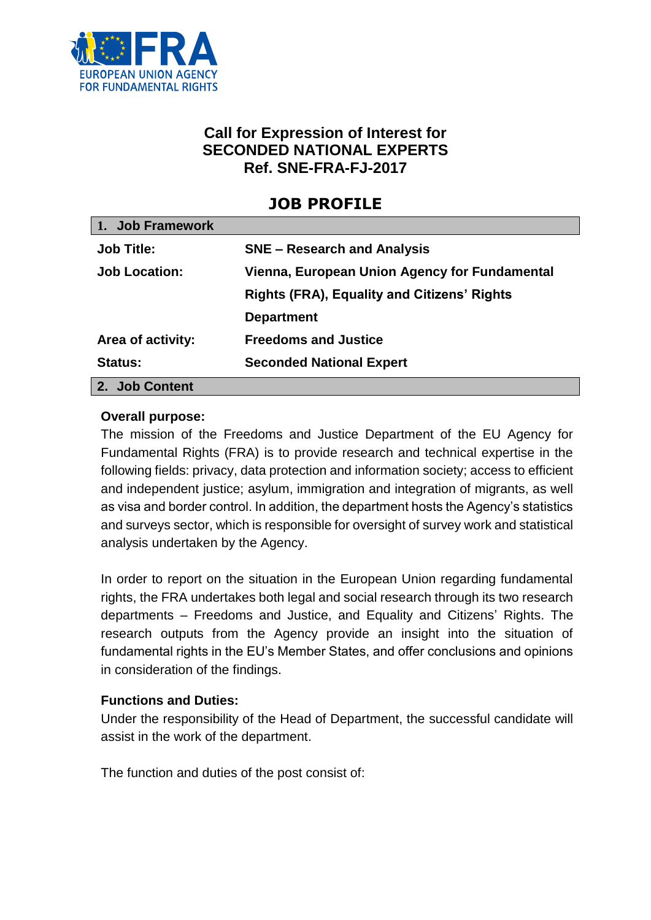

# **Call for Expression of Interest for SECONDED NATIONAL EXPERTS Ref. SNE-FRA-FJ-2017**

# **JOB PROFILE**

| 1. Job Framework     |                                                    |
|----------------------|----------------------------------------------------|
| <b>Job Title:</b>    | <b>SNE – Research and Analysis</b>                 |
| <b>Job Location:</b> | Vienna, European Union Agency for Fundamental      |
|                      | <b>Rights (FRA), Equality and Citizens' Rights</b> |
|                      | <b>Department</b>                                  |
| Area of activity:    | <b>Freedoms and Justice</b>                        |
| <b>Status:</b>       | <b>Seconded National Expert</b>                    |
| 2. Job Content       |                                                    |

#### **Overall purpose:**

The mission of the Freedoms and Justice Department of the EU Agency for Fundamental Rights (FRA) is to provide research and technical expertise in the following fields: privacy, data protection and information society; access to efficient and independent justice; asylum, immigration and integration of migrants, as well as visa and border control. In addition, the department hosts the Agency's statistics and surveys sector, which is responsible for oversight of survey work and statistical analysis undertaken by the Agency.

In order to report on the situation in the European Union regarding fundamental rights, the FRA undertakes both legal and social research through its two research departments – Freedoms and Justice, and Equality and Citizens' Rights. The research outputs from the Agency provide an insight into the situation of fundamental rights in the EU's Member States, and offer conclusions and opinions in consideration of the findings.

#### **Functions and Duties:**

Under the responsibility of the Head of Department, the successful candidate will assist in the work of the department.

The function and duties of the post consist of: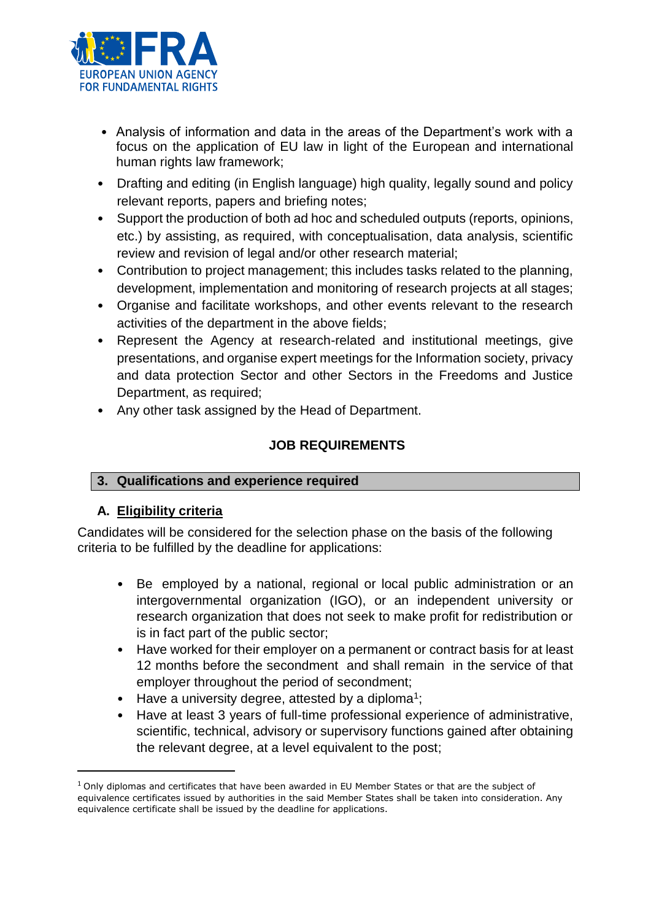

- Analysis of information and data in the areas of the Department's work with a focus on the application of EU law in light of the European and international human rights law framework;
- Drafting and editing (in English language) high quality, legally sound and policy relevant reports, papers and briefing notes;
- Support the production of both ad hoc and scheduled outputs (reports, opinions, etc.) by assisting, as required, with conceptualisation, data analysis, scientific review and revision of legal and/or other research material;
- Contribution to project management; this includes tasks related to the planning, development, implementation and monitoring of research projects at all stages;
- Organise and facilitate workshops, and other events relevant to the research activities of the department in the above fields;
- Represent the Agency at research-related and institutional meetings, give presentations, and organise expert meetings for the Information society, privacy and data protection Sector and other Sectors in the Freedoms and Justice Department, as required;
- Any other task assigned by the Head of Department.

# **JOB REQUIREMENTS**

# **3. Qualifications and experience required**

# **A. Eligibility criteria**

Candidates will be considered for the selection phase on the basis of the following criteria to be fulfilled by the deadline for applications:

- Be employed by a national, regional or local public administration or an intergovernmental organization (IGO), or an independent university or research organization that does not seek to make profit for redistribution or is in fact part of the public sector;
- Have worked for their employer on a permanent or contract basis for at least 12 months before the secondment and shall remain in the service of that employer throughout the period of secondment;
- Have a university degree, attested by a diploma<sup>1</sup>;
- Have at least 3 years of full-time professional experience of administrative, scientific, technical, advisory or supervisory functions gained after obtaining the relevant degree, at a level equivalent to the post;

 $1$  Only diplomas and certificates that have been awarded in EU Member States or that are the subject of equivalence certificates issued by authorities in the said Member States shall be taken into consideration. Any equivalence certificate shall be issued by the deadline for applications.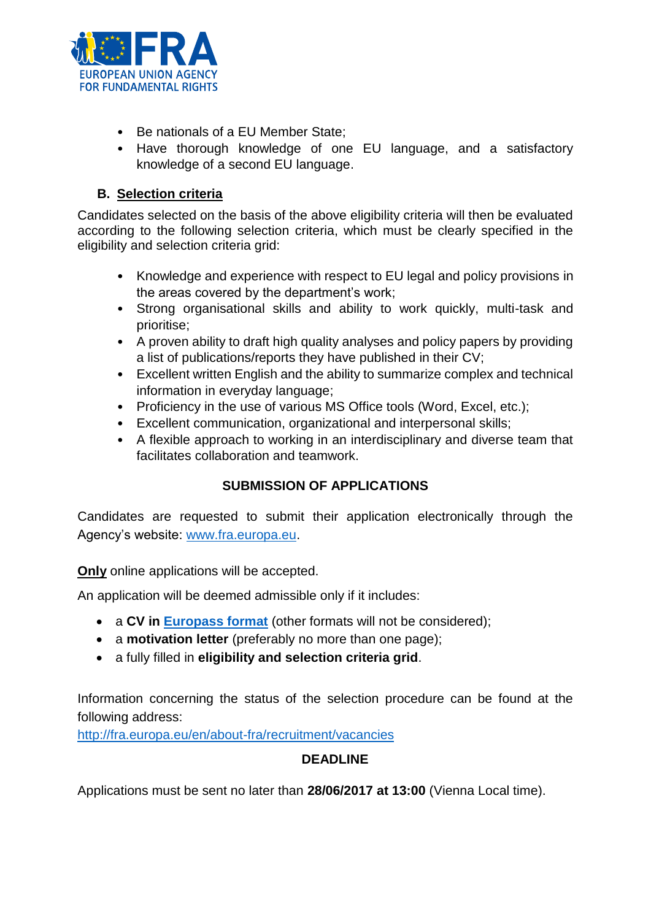

- Be nationals of a EU Member State;
- Have thorough knowledge of one EU language, and a satisfactory knowledge of a second EU language.

#### **B. Selection criteria**

Candidates selected on the basis of the above eligibility criteria will then be evaluated according to the following selection criteria, which must be clearly specified in the eligibility and selection criteria grid:

- Knowledge and experience with respect to EU legal and policy provisions in the areas covered by the department's work;
- Strong organisational skills and ability to work quickly, multi-task and prioritise;
- A proven ability to draft high quality analyses and policy papers by providing a list of publications/reports they have published in their CV;
- Excellent written English and the ability to summarize complex and technical information in everyday language;
- Proficiency in the use of various MS Office tools (Word, Excel, etc.);
- Excellent communication, organizational and interpersonal skills;
- A flexible approach to working in an interdisciplinary and diverse team that facilitates collaboration and teamwork.

# **SUBMISSION OF APPLICATIONS**

Candidates are requested to submit their application electronically through the Agency's website: [www.fra.europa.eu.](http://www.fra.europa.eu/)

**Only** online applications will be accepted.

An application will be deemed admissible only if it includes:

- a **CV in [Europass format](http://europass.cedefop.europa.eu/en/documents/curriculum-vitae/templates-instructions)** (other formats will not be considered);
- a **motivation letter** (preferably no more than one page);
- a fully filled in **eligibility and selection criteria grid**.

Information concerning the status of the selection procedure can be found at the following address:

<http://fra.europa.eu/en/about-fra/recruitment/vacancies>

#### **DEADLINE**

Applications must be sent no later than **28/06/2017 at 13:00** (Vienna Local time).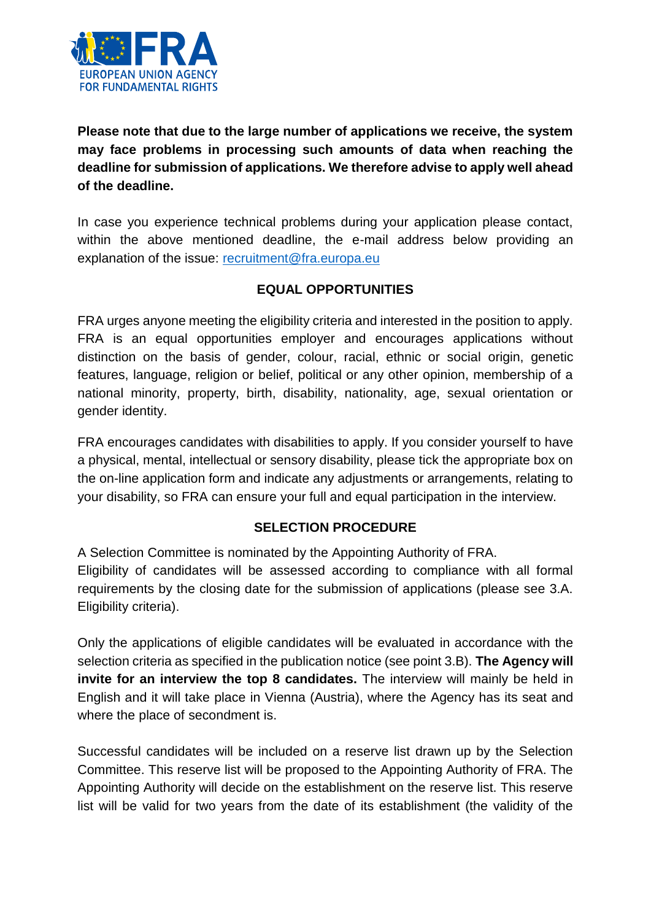

**Please note that due to the large number of applications we receive, the system may face problems in processing such amounts of data when reaching the deadline for submission of applications. We therefore advise to apply well ahead of the deadline.** 

In case you experience technical problems during your application please contact, within the above mentioned deadline, the e-mail address below providing an explanation of the issue: [recruitment@fra.europa.eu](mailto:recruitment@fra.europa.eu)

#### **EQUAL OPPORTUNITIES**

FRA urges anyone meeting the eligibility criteria and interested in the position to apply. FRA is an equal opportunities employer and encourages applications without distinction on the basis of gender, colour, racial, ethnic or social origin, genetic features, language, religion or belief, political or any other opinion, membership of a national minority, property, birth, disability, nationality, age, sexual orientation or gender identity.

FRA encourages candidates with disabilities to apply. If you consider yourself to have a physical, mental, intellectual or sensory disability, please tick the appropriate box on the on-line application form and indicate any adjustments or arrangements, relating to your disability, so FRA can ensure your full and equal participation in the interview.

#### **SELECTION PROCEDURE**

A Selection Committee is nominated by the Appointing Authority of FRA.

Eligibility of candidates will be assessed according to compliance with all formal requirements by the closing date for the submission of applications (please see 3.A. Eligibility criteria).

Only the applications of eligible candidates will be evaluated in accordance with the selection criteria as specified in the publication notice (see point 3.B). **The Agency will invite for an interview the top 8 candidates.** The interview will mainly be held in English and it will take place in Vienna (Austria), where the Agency has its seat and where the place of secondment is.

Successful candidates will be included on a reserve list drawn up by the Selection Committee. This reserve list will be proposed to the Appointing Authority of FRA. The Appointing Authority will decide on the establishment on the reserve list. This reserve list will be valid for two years from the date of its establishment (the validity of the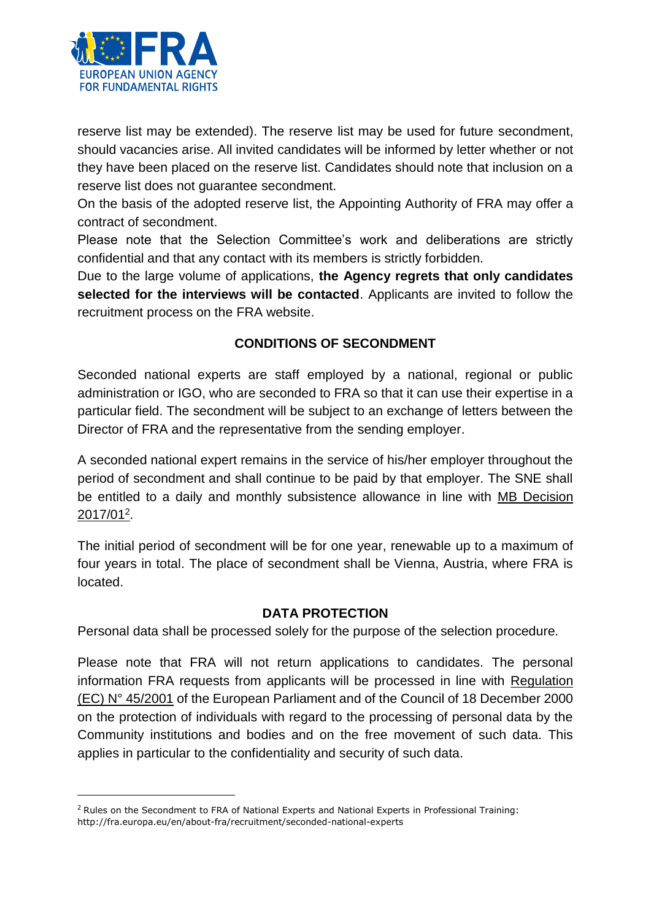

1

reserve list may be extended). The reserve list may be used for future secondment, should vacancies arise. All invited candidates will be informed by letter whether or not they have been placed on the reserve list. Candidates should note that inclusion on a reserve list does not guarantee secondment.

On the basis of the adopted reserve list, the Appointing Authority of FRA may offer a contract of secondment.

Please note that the Selection Committee's work and deliberations are strictly confidential and that any contact with its members is strictly forbidden.

Due to the large volume of applications, **the Agency regrets that only candidates selected for the interviews will be contacted**. Applicants are invited to follow the recruitment process on the FRA website.

# **CONDITIONS OF SECONDMENT**

Seconded national experts are staff employed by a national, regional or public administration or IGO, who are seconded to FRA so that it can use their expertise in a particular field. The secondment will be subject to an exchange of letters between the Director of FRA and the representative from the sending employer.

A seconded national expert remains in the service of his/her employer throughout the period of secondment and shall continue to be paid by that employer. The SNE shall be entitled to a daily and monthly subsistence allowance in line with MB Decision 2017/01<sup>2</sup> .

The initial period of secondment will be for one year, renewable up to a maximum of four years in total. The place of secondment shall be Vienna, Austria, where FRA is located.

#### **DATA PROTECTION**

Personal data shall be processed solely for the purpose of the selection procedure.

Please note that FRA will not return applications to candidates. The personal information FRA requests from applicants will be processed in line with Regulation (EC) N° 45/2001 of the European Parliament and of the Council of 18 December 2000 on the protection of individuals with regard to the processing of personal data by the Community institutions and bodies and on the free movement of such data. This applies in particular to the confidentiality and security of such data.

<sup>&</sup>lt;sup>2</sup> Rules on the Secondment to FRA of National Experts and National Experts in Professional Training: http://fra.europa.eu/en/about-fra/recruitment/seconded-national-experts